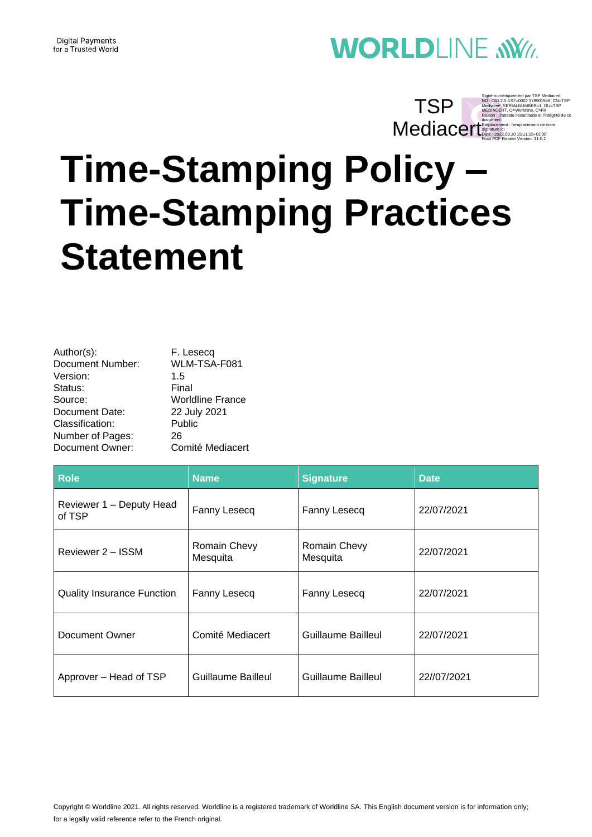#### **Digital Payments** for a Trusted World

# **WORLDLINE NWW**

### Signé numériquement par TSP Mediacert<br>ND : OID.2.5.4.97=0002 378901946, CN=TSP<br>Mediacert, SERIALNUMBER=1, OU=TSP<br>MEDIACERT, O=Worldline, C=FR<br>Raison : J'atteste l'exactitude et l'intégrité de ce Mediacertent de votre<br>
Signature ici 2023.03.10 15:11:15+01'00'<br>
Foxit PDF Reader Version: 11.0.1 TSP

**Time-Stamping Policy – Time-Stamping Practices Statement**

| Author(s):       | F. Lesecq               |
|------------------|-------------------------|
| Document Number: | WLM-TSA-F081            |
| Version:         | 1.5                     |
| Status:          | Final                   |
| Source:          | <b>Worldline France</b> |
| Document Date:   | 22 July 2021            |
| Classification:  | Public                  |
| Number of Pages: | 26                      |
| Document Owner:  | Comité Mediacert        |

| <b>Role</b>                        | <b>Name</b>              | <b>Signature</b>          | <b>Date</b> |
|------------------------------------|--------------------------|---------------------------|-------------|
| Reviewer 1 - Deputy Head<br>of TSP | Fanny Lesecq             | Fanny Lesecq              | 22/07/2021  |
| Reviewer 2 – ISSM                  | Romain Chevy<br>Mesquita | Romain Chevy<br>Mesquita  | 22/07/2021  |
| <b>Quality Insurance Function</b>  | Fanny Lesecq             | Fanny Lesecq              | 22/07/2021  |
| Document Owner                     | Comité Mediacert         | Guillaume Bailleul        | 22/07/2021  |
| Approver - Head of TSP             | Guillaume Bailleul       | <b>Guillaume Bailleul</b> | 22//07/2021 |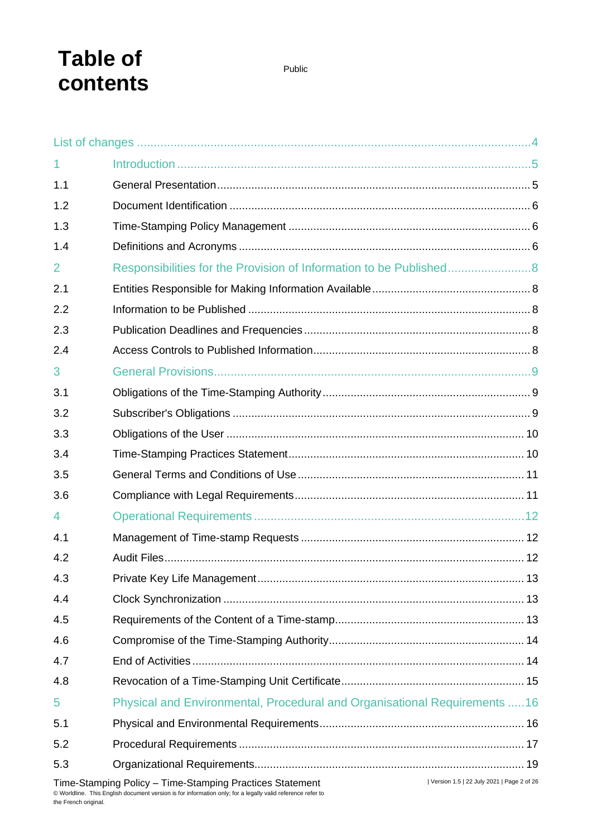# **Table of contents**

Public

| 1              |                                                                                                       |  |
|----------------|-------------------------------------------------------------------------------------------------------|--|
| 1.1            |                                                                                                       |  |
| 1.2            |                                                                                                       |  |
| 1.3            |                                                                                                       |  |
| 1.4            |                                                                                                       |  |
| $\overline{2}$ | Responsibilities for the Provision of Information to be Published8                                    |  |
| 2.1            |                                                                                                       |  |
| 2.2            |                                                                                                       |  |
| 2.3            |                                                                                                       |  |
| 2.4            |                                                                                                       |  |
| 3              |                                                                                                       |  |
| 3.1            |                                                                                                       |  |
| 3.2            |                                                                                                       |  |
| 3.3            |                                                                                                       |  |
| 3.4            |                                                                                                       |  |
| 3.5            |                                                                                                       |  |
| 3.6            |                                                                                                       |  |
| 4              |                                                                                                       |  |
| 4.1            |                                                                                                       |  |
| 4.2            |                                                                                                       |  |
| 4.3            |                                                                                                       |  |
| 4.4            |                                                                                                       |  |
| 4.5            |                                                                                                       |  |
| 4.6            |                                                                                                       |  |
| 4.7            |                                                                                                       |  |
| 4.8            |                                                                                                       |  |
| 5              | Physical and Environmental, Procedural and Organisational Requirements 16                             |  |
| 5.1            |                                                                                                       |  |
| 5.2            |                                                                                                       |  |
| 5.3            |                                                                                                       |  |
|                | Version 1.5   22 July 2021   Page 2 of 26<br>Time-Stamping Policy - Time-Stamping Practices Statement |  |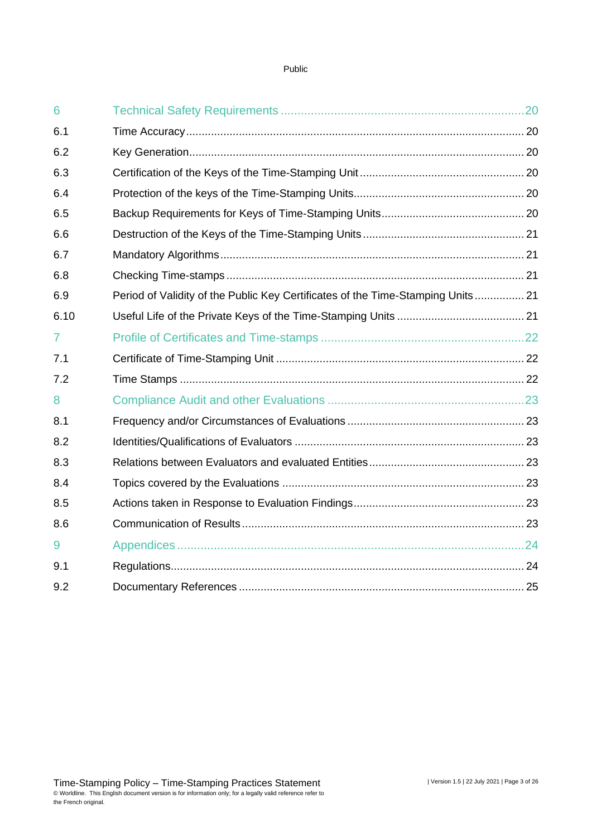| 6              |                                                                                 |  |
|----------------|---------------------------------------------------------------------------------|--|
| 6.1            |                                                                                 |  |
| 6.2            |                                                                                 |  |
| 6.3            |                                                                                 |  |
| 6.4            |                                                                                 |  |
| 6.5            |                                                                                 |  |
| 6.6            |                                                                                 |  |
| 6.7            |                                                                                 |  |
| 6.8            |                                                                                 |  |
| 6.9            | Period of Validity of the Public Key Certificates of the Time-Stamping Units 21 |  |
| 6.10           |                                                                                 |  |
| $\overline{7}$ |                                                                                 |  |
| 7.1            |                                                                                 |  |
| 7.2            |                                                                                 |  |
| 8              |                                                                                 |  |
| 8.1            |                                                                                 |  |
| 8.2            |                                                                                 |  |
| 8.3            |                                                                                 |  |
| 8.4            |                                                                                 |  |
| 8.5            |                                                                                 |  |
| 8.6            |                                                                                 |  |
| 9              |                                                                                 |  |
| 9.1            |                                                                                 |  |
| 9.2            |                                                                                 |  |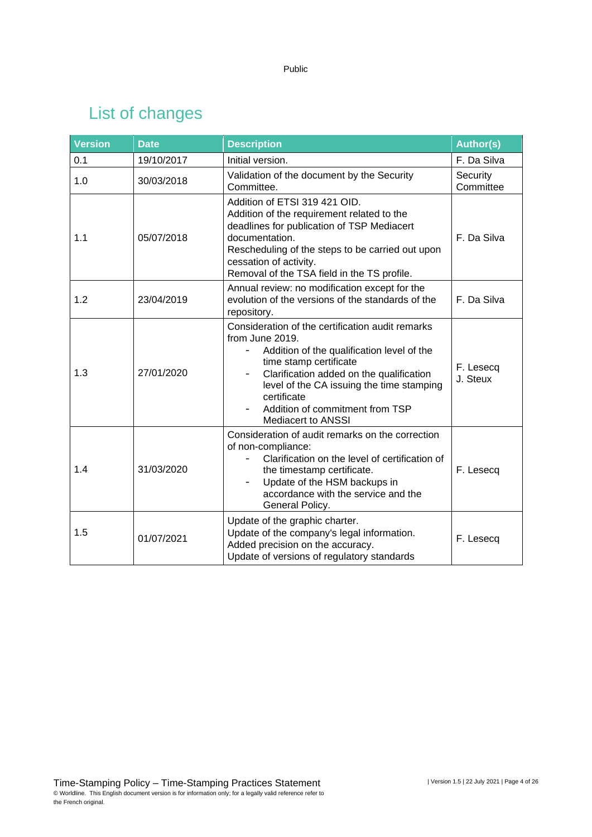# List of changes

<span id="page-3-0"></span>

| <b>Version</b> | <b>Date</b> | <b>Description</b>                                                                                                                                                                                                                                                                                                                       | <b>Author(s)</b>      |
|----------------|-------------|------------------------------------------------------------------------------------------------------------------------------------------------------------------------------------------------------------------------------------------------------------------------------------------------------------------------------------------|-----------------------|
| 0.1            | 19/10/2017  | Initial version.                                                                                                                                                                                                                                                                                                                         | F. Da Silva           |
| 1.0            | 30/03/2018  | Validation of the document by the Security<br>Committee.                                                                                                                                                                                                                                                                                 | Security<br>Committee |
| 1.1            | 05/07/2018  | Addition of ETSI 319 421 OID.<br>Addition of the requirement related to the<br>deadlines for publication of TSP Mediacert<br>documentation.<br>Rescheduling of the steps to be carried out upon<br>cessation of activity.<br>Removal of the TSA field in the TS profile.                                                                 | F. Da Silva           |
| 1.2            | 23/04/2019  | Annual review: no modification except for the<br>evolution of the versions of the standards of the<br>repository.                                                                                                                                                                                                                        | F. Da Silva           |
| 1.3            | 27/01/2020  | Consideration of the certification audit remarks<br>from June 2019.<br>Addition of the qualification level of the<br>$\overline{\phantom{a}}$<br>time stamp certificate<br>Clarification added on the qualification<br>level of the CA issuing the time stamping<br>certificate<br>Addition of commitment from TSP<br>Mediacert to ANSSI | F. Lesecq<br>J. Steux |
| 1.4            | 31/03/2020  | Consideration of audit remarks on the correction<br>of non-compliance:<br>Clarification on the level of certification of<br>the timestamp certificate.<br>Update of the HSM backups in<br>accordance with the service and the<br>General Policy.                                                                                         | F. Lesecq             |
| 1.5            | 01/07/2021  | Update of the graphic charter.<br>Update of the company's legal information.<br>Added precision on the accuracy.<br>Update of versions of regulatory standards                                                                                                                                                                           | F. Lesecq             |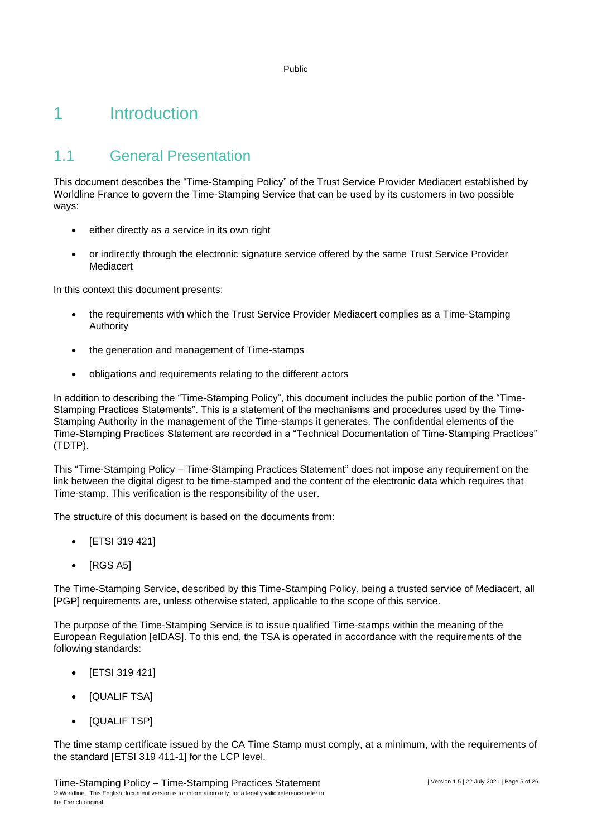### <span id="page-4-0"></span>1 Introduction

### <span id="page-4-1"></span>1.1 General Presentation

This document describes the "Time-Stamping Policy" of the Trust Service Provider Mediacert established by Worldline France to govern the Time-Stamping Service that can be used by its customers in two possible ways:

- either directly as a service in its own right
- or indirectly through the electronic signature service offered by the same Trust Service Provider Mediacert

In this context this document presents:

- the requirements with which the Trust Service Provider Mediacert complies as a Time-Stamping Authority
- the generation and management of Time-stamps
- obligations and requirements relating to the different actors

In addition to describing the "Time-Stamping Policy", this document includes the public portion of the "Time-Stamping Practices Statements". This is a statement of the mechanisms and procedures used by the Time-Stamping Authority in the management of the Time-stamps it generates. The confidential elements of the Time-Stamping Practices Statement are recorded in a "Technical Documentation of Time-Stamping Practices" (TDTP).

This "Time-Stamping Policy – Time-Stamping Practices Statement" does not impose any requirement on the link between the digital digest to be time-stamped and the content of the electronic data which requires that Time-stamp. This verification is the responsibility of the user.

The structure of this document is based on the documents from:

- [ETSI 319 421]
- [RGS A5]

The Time-Stamping Service, described by this Time-Stamping Policy, being a trusted service of Mediacert, all [PGP] requirements are, unless otherwise stated, applicable to the scope of this service.

The purpose of the Time-Stamping Service is to issue qualified Time-stamps within the meaning of the European Regulation [eIDAS]. To this end, the TSA is operated in accordance with the requirements of the following standards:

- [ETSI 319 421]
- [QUALIF TSA]
- [QUALIF TSP]

The time stamp certificate issued by the CA Time Stamp must comply, at a minimum, with the requirements of the standard [ETSI 319 411-1] for the LCP level.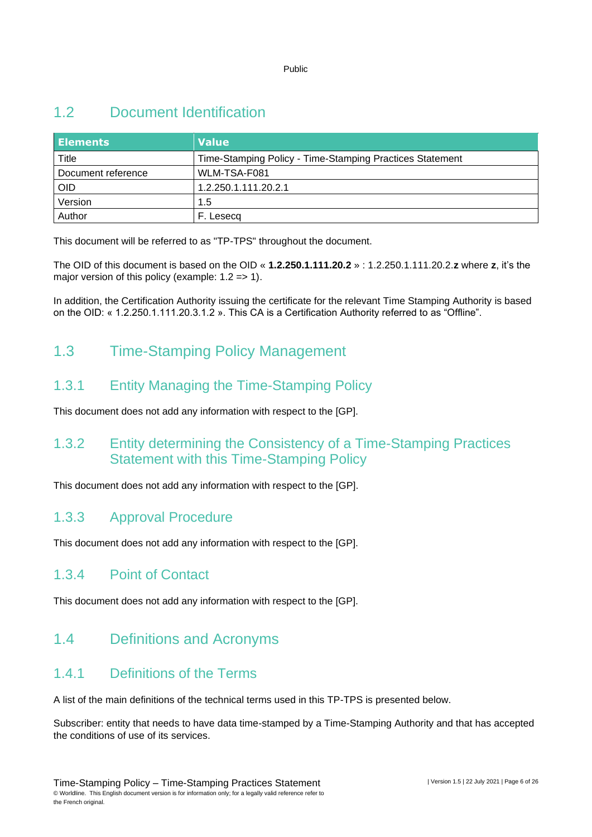### <span id="page-5-0"></span>1.2 Document Identification

| <b>Elements</b>    | <b>Value</b>                                             |
|--------------------|----------------------------------------------------------|
| Title              | Time-Stamping Policy - Time-Stamping Practices Statement |
| Document reference | WLM-TSA-F081                                             |
| <b>OID</b>         | 1.2.250.1.111.20.2.1                                     |
| Version            | 1.5                                                      |
| Author             | Lesecg                                                   |

This document will be referred to as "TP-TPS" throughout the document.

The OID of this document is based on the OID « **1.2.250.1.111.20.2** » : 1.2.250.1.111.20.2.**z** where **z**, it's the major version of this policy (example:  $1.2 \Rightarrow 1$ ).

<span id="page-5-1"></span>In addition, the Certification Authority issuing the certificate for the relevant Time Stamping Authority is based on the OID: « 1.2.250.1.111.20.3.1.2 ». This CA is a Certification Authority referred to as "Offline".

### 1.3 Time-Stamping Policy Management

### 1.3.1 Entity Managing the Time-Stamping Policy

This document does not add any information with respect to the [GP].

### 1.3.2 Entity determining the Consistency of a Time-Stamping Practices Statement with this Time-Stamping Policy

This document does not add any information with respect to the [GP].

### 1.3.3 Approval Procedure

This document does not add any information with respect to the [GP].

### 1.3.4 Point of Contact

<span id="page-5-2"></span>This document does not add any information with respect to the [GP].

### 1.4 Definitions and Acronyms

### 1.4.1 Definitions of the Terms

A list of the main definitions of the technical terms used in this TP-TPS is presented below.

Subscriber: entity that needs to have data time-stamped by a Time-Stamping Authority and that has accepted the conditions of use of its services.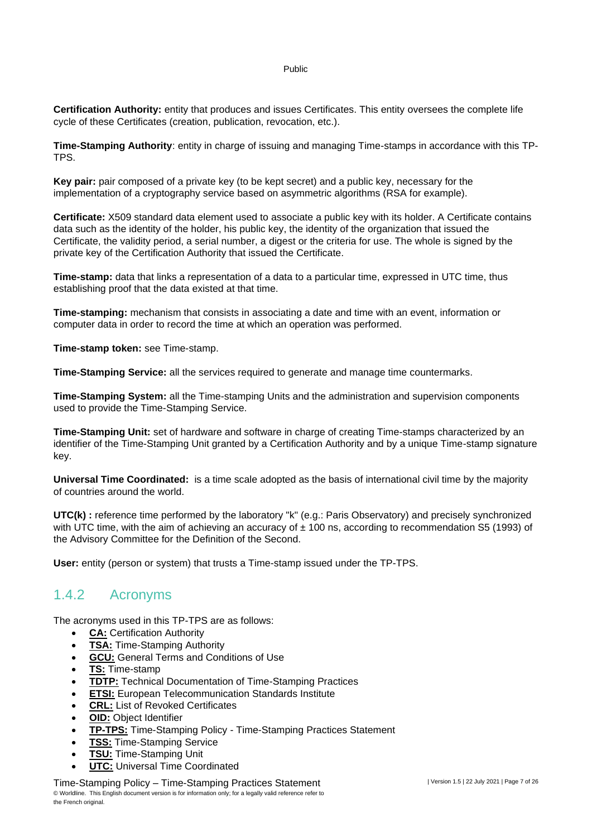**Certification Authority:** entity that produces and issues Certificates. This entity oversees the complete life cycle of these Certificates (creation, publication, revocation, etc.).

**Time-Stamping Authority**: entity in charge of issuing and managing Time-stamps in accordance with this TP-TPS.

**Key pair:** pair composed of a private key (to be kept secret) and a public key, necessary for the implementation of a cryptography service based on asymmetric algorithms (RSA for example).

**Certificate:** X509 standard data element used to associate a public key with its holder. A Certificate contains data such as the identity of the holder, his public key, the identity of the organization that issued the Certificate, the validity period, a serial number, a digest or the criteria for use. The whole is signed by the private key of the Certification Authority that issued the Certificate.

**Time-stamp:** data that links a representation of a data to a particular time, expressed in UTC time, thus establishing proof that the data existed at that time.

**Time-stamping:** mechanism that consists in associating a date and time with an event, information or computer data in order to record the time at which an operation was performed.

**Time-stamp token:** see Time-stamp.

**Time-Stamping Service:** all the services required to generate and manage time countermarks.

**Time-Stamping System:** all the Time-stamping Units and the administration and supervision components used to provide the Time-Stamping Service.

**Time-Stamping Unit:** set of hardware and software in charge of creating Time-stamps characterized by an identifier of the Time-Stamping Unit granted by a Certification Authority and by a unique Time-stamp signature key.

**Universal Time Coordinated:** is a time scale adopted as the basis of international civil time by the majority of countries around the world.

**UTC(k) :** reference time performed by the laboratory "k" (e.g.: Paris Observatory) and precisely synchronized with UTC time, with the aim of achieving an accuracy of  $\pm$  100 ns, according to recommendation S5 (1993) of the Advisory Committee for the Definition of the Second.

**User:** entity (person or system) that trusts a Time-stamp issued under the TP-TPS.

### 1.4.2 Acronyms

The acronyms used in this TP-TPS are as follows:

- **CA: Certification Authority**
- **TSA: Time-Stamping Authority**
- **GCU:** General Terms and Conditions of Use
- **TS:** Time-stamp
- **TDTP:** Technical Documentation of Time-Stamping Practices
- **ETSI:** European Telecommunication Standards Institute
- **CRL:** List of Revoked Certificates
- **OID:** Object Identifier
- **TP-TPS:** Time-Stamping Policy Time-Stamping Practices Statement
- **TSS: Time-Stamping Service**
- **TSU:** Time-Stamping Unit
- **UTC: Universal Time Coordinated**

Time-Stamping Policy – Time-Stamping Practices Statement © Worldline. This English document version is for information only; for a legally valid reference refer to the French original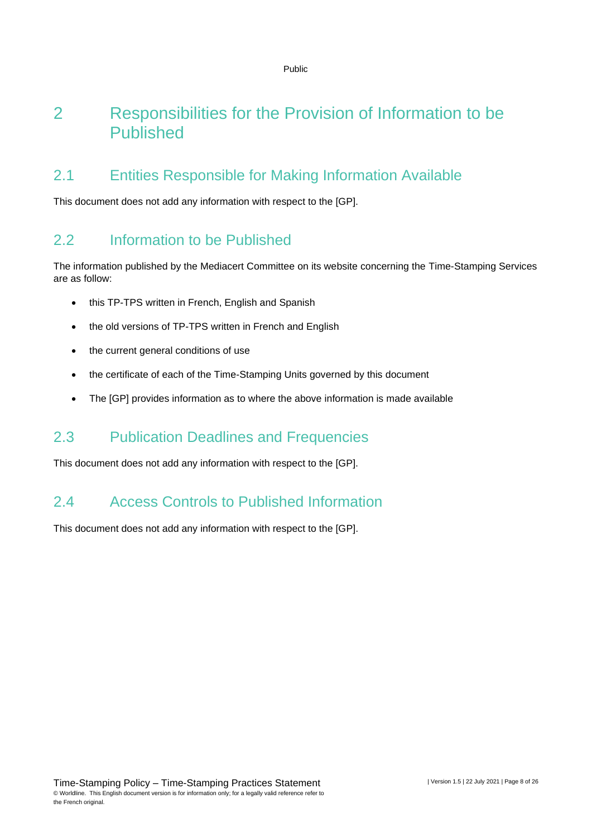### <span id="page-7-0"></span>2 Responsibilities for the Provision of Information to be Published

### <span id="page-7-1"></span>2.1 Entities Responsible for Making Information Available

<span id="page-7-2"></span>This document does not add any information with respect to the [GP].

### 2.2 Information to be Published

The information published by the Mediacert Committee on its website concerning the Time-Stamping Services are as follow:

- this TP-TPS written in French, English and Spanish
- the old versions of TP-TPS written in French and English
- the current general conditions of use
- the certificate of each of the Time-Stamping Units governed by this document
- <span id="page-7-3"></span>• The IGPI provides information as to where the above information is made available

### 2.3 Publication Deadlines and Frequencies

<span id="page-7-4"></span>This document does not add any information with respect to the [GP].

### 2.4 Access Controls to Published Information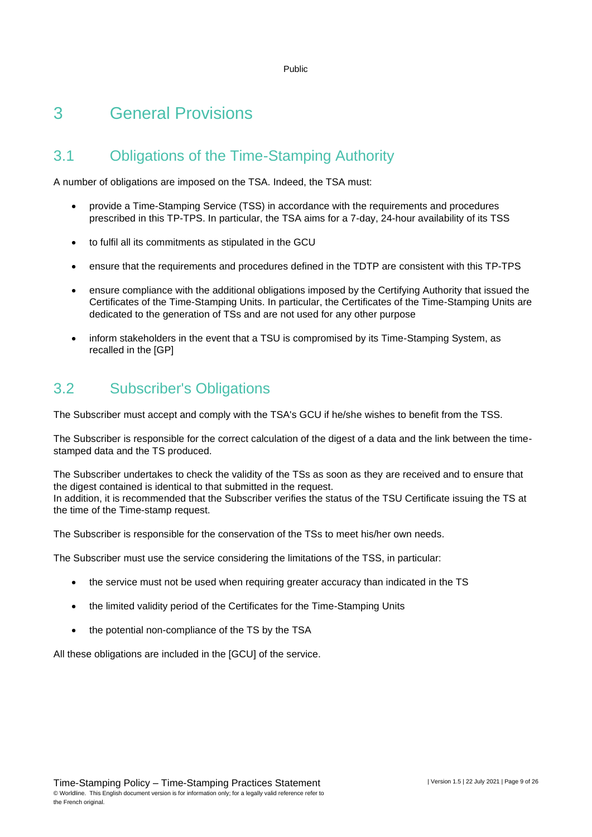## <span id="page-8-0"></span>3 General Provisions

### <span id="page-8-1"></span>3.1 Obligations of the Time-Stamping Authority

A number of obligations are imposed on the TSA. Indeed, the TSA must:

- provide a Time-Stamping Service (TSS) in accordance with the requirements and procedures prescribed in this TP-TPS. In particular, the TSA aims for a 7-day, 24-hour availability of its TSS
- to fulfil all its commitments as stipulated in the GCU
- ensure that the requirements and procedures defined in the TDTP are consistent with this TP-TPS
- ensure compliance with the additional obligations imposed by the Certifying Authority that issued the Certificates of the Time-Stamping Units. In particular, the Certificates of the Time-Stamping Units are dedicated to the generation of TSs and are not used for any other purpose
- inform stakeholders in the event that a TSU is compromised by its Time-Stamping System, as recalled in the [GP]

### <span id="page-8-2"></span>3.2 Subscriber's Obligations

The Subscriber must accept and comply with the TSA's GCU if he/she wishes to benefit from the TSS.

The Subscriber is responsible for the correct calculation of the digest of a data and the link between the timestamped data and the TS produced.

The Subscriber undertakes to check the validity of the TSs as soon as they are received and to ensure that the digest contained is identical to that submitted in the request. In addition, it is recommended that the Subscriber verifies the status of the TSU Certificate issuing the TS at the time of the Time-stamp request.

The Subscriber is responsible for the conservation of the TSs to meet his/her own needs.

The Subscriber must use the service considering the limitations of the TSS, in particular:

- the service must not be used when requiring greater accuracy than indicated in the TS
- the limited validity period of the Certificates for the Time-Stamping Units
- the potential non-compliance of the TS by the TSA

All these obligations are included in the [GCU] of the service.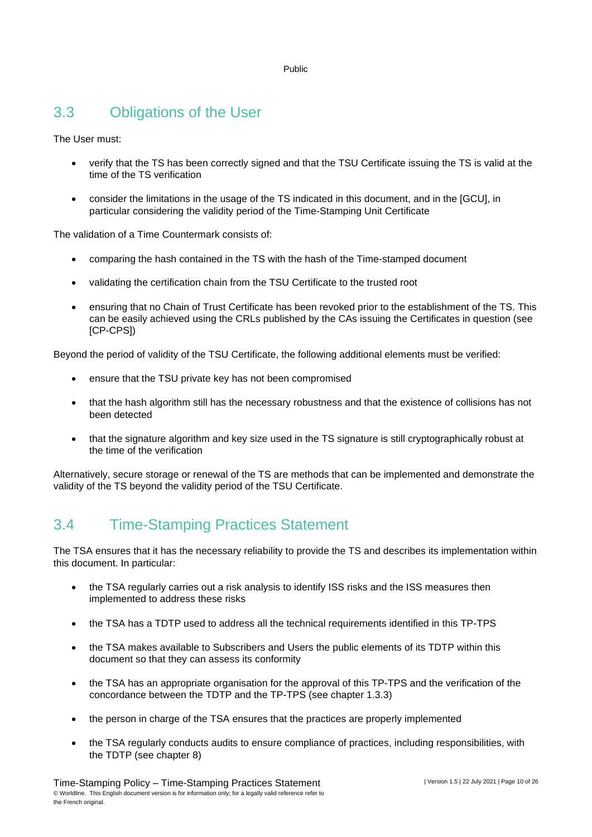### <span id="page-9-0"></span>3.3 Obligations of the User

The User must:

- verify that the TS has been correctly signed and that the TSU Certificate issuing the TS is valid at the time of the TS verification
- consider the limitations in the usage of the TS indicated in this document, and in the [GCU], in particular considering the validity period of the Time-Stamping Unit Certificate

The validation of a Time Countermark consists of:

- comparing the hash contained in the TS with the hash of the Time-stamped document
- validating the certification chain from the TSU Certificate to the trusted root
- ensuring that no Chain of Trust Certificate has been revoked prior to the establishment of the TS. This can be easily achieved using the CRLs published by the CAs issuing the Certificates in question (see [CP-CPS])

Beyond the period of validity of the TSU Certificate, the following additional elements must be verified:

- ensure that the TSU private key has not been compromised
- that the hash algorithm still has the necessary robustness and that the existence of collisions has not been detected
- that the signature algorithm and key size used in the TS signature is still cryptographically robust at the time of the verification

<span id="page-9-1"></span>Alternatively, secure storage or renewal of the TS are methods that can be implemented and demonstrate the validity of the TS beyond the validity period of the TSU Certificate.

### 3.4 Time-Stamping Practices Statement

The TSA ensures that it has the necessary reliability to provide the TS and describes its implementation within this document. In particular:

- the TSA regularly carries out a risk analysis to identify ISS risks and the ISS measures then implemented to address these risks
- the TSA has a TDTP used to address all the technical requirements identified in this TP-TPS
- the TSA makes available to Subscribers and Users the public elements of its TDTP within this document so that they can assess its conformity
- the TSA has an appropriate organisation for the approval of this TP-TPS and the verification of the concordance between the TDTP and the TP-TPS (see chapter 1.3.3)
- the person in charge of the TSA ensures that the practices are properly implemented
- the TSA regularly conducts audits to ensure compliance of practices, including responsibilities, with the TDTP (see chapter 8)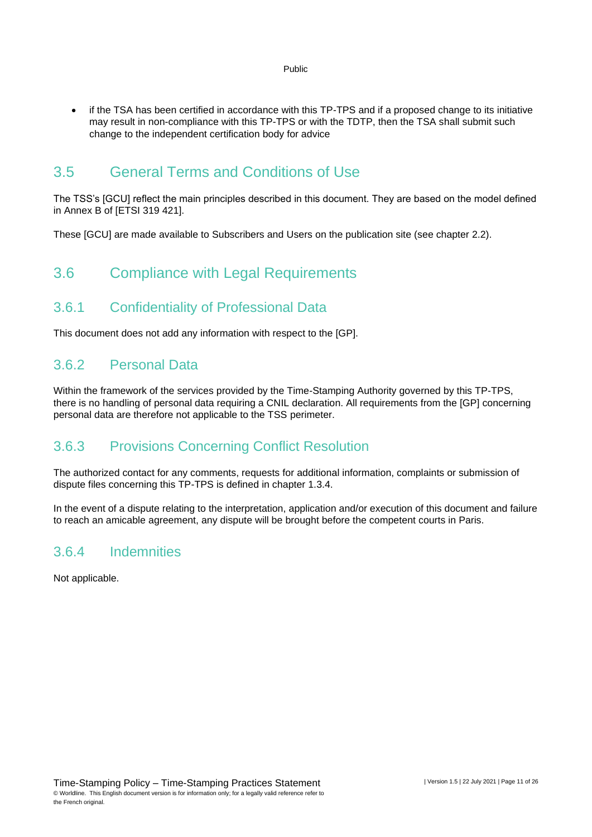- Public
- if the TSA has been certified in accordance with this TP-TPS and if a proposed change to its initiative may result in non-compliance with this TP-TPS or with the TDTP, then the TSA shall submit such change to the independent certification body for advice

### <span id="page-10-0"></span>3.5 General Terms and Conditions of Use

The TSS's [GCU] reflect the main principles described in this document. They are based on the model defined in Annex B of [ETSI 319 421].

<span id="page-10-1"></span>These [GCU] are made available to Subscribers and Users on the publication site (see chapter 2.2).

### 3.6 Compliance with Legal Requirements

### 3.6.1 Confidentiality of Professional Data

This document does not add any information with respect to the [GP].

#### 3.6.2 Personal Data

Within the framework of the services provided by the Time-Stamping Authority governed by this TP-TPS, there is no handling of personal data requiring a CNIL declaration. All requirements from the [GP] concerning personal data are therefore not applicable to the TSS perimeter.

### 3.6.3 Provisions Concerning Conflict Resolution

The authorized contact for any comments, requests for additional information, complaints or submission of dispute files concerning this TP-TPS is defined in chapter 1.3.4.

In the event of a dispute relating to the interpretation, application and/or execution of this document and failure to reach an amicable agreement, any dispute will be brought before the competent courts in Paris.

#### 3.6.4 Indemnities

Not applicable.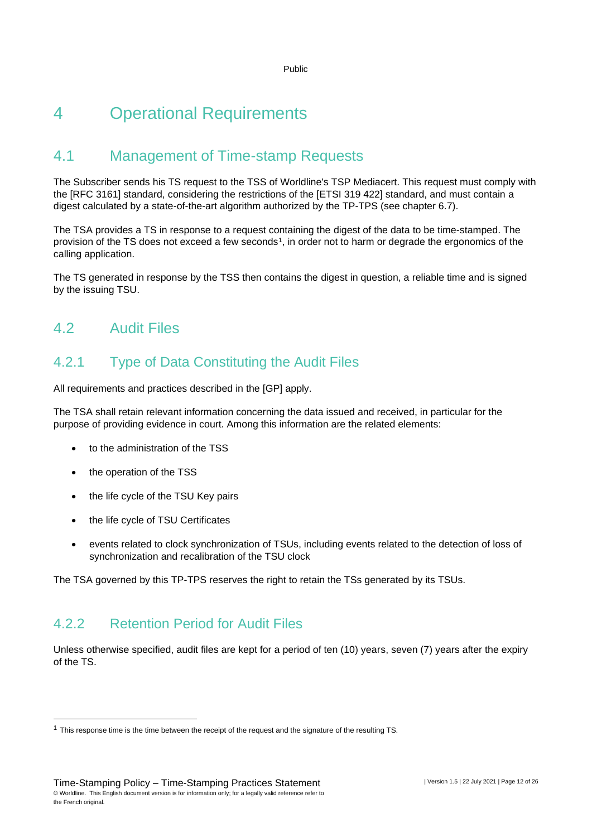# <span id="page-11-0"></span>4 Operational Requirements

### <span id="page-11-1"></span>4.1 Management of Time-stamp Requests

The Subscriber sends his TS request to the TSS of Worldline's TSP Mediacert. This request must comply with the [RFC 3161] standard, considering the restrictions of the [ETSI 319 422] standard, and must contain a digest calculated by a state-of-the-art algorithm authorized by the TP-TPS (see chapter 6.7).

The TSA provides a TS in response to a request containing the digest of the data to be time-stamped. The provision of the TS does not exceed a few seconds<sup>1</sup>, in order not to harm or degrade the ergonomics of the calling application.

<span id="page-11-2"></span>The TS generated in response by the TSS then contains the digest in question, a reliable time and is signed by the issuing TSU.

### 4.2 Audit Files

### 4.2.1 Type of Data Constituting the Audit Files

All requirements and practices described in the [GP] apply.

The TSA shall retain relevant information concerning the data issued and received, in particular for the purpose of providing evidence in court. Among this information are the related elements:

- to the administration of the TSS
- the operation of the TSS
- the life cycle of the TSU Key pairs
- the life cycle of TSU Certificates
- events related to clock synchronization of TSUs, including events related to the detection of loss of synchronization and recalibration of the TSU clock

The TSA governed by this TP-TPS reserves the right to retain the TSs generated by its TSUs.

### 4.2.2 Retention Period for Audit Files

Unless otherwise specified, audit files are kept for a period of ten (10) years, seven (7) years after the expiry of the TS.

 $1$  This response time is the time between the receipt of the request and the signature of the resulting TS.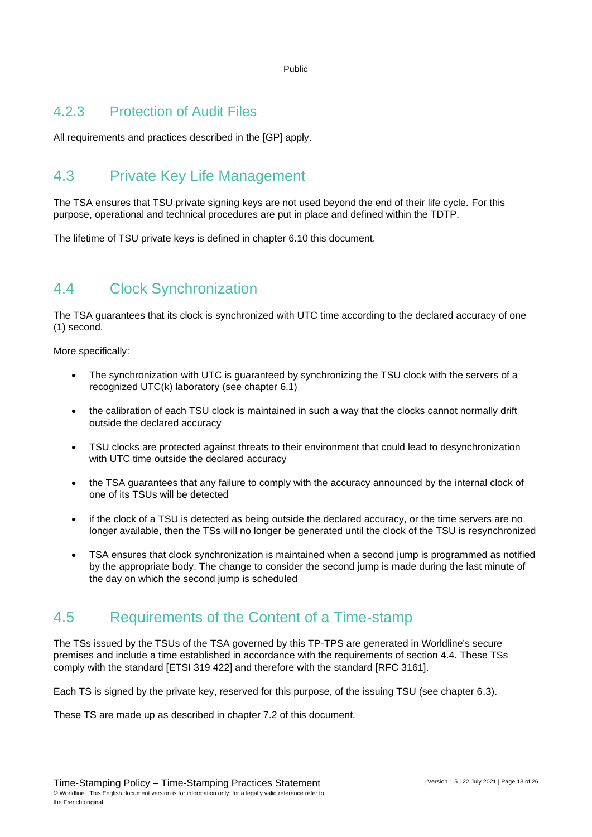#### 4.2.3 Protection of Audit Files

<span id="page-12-0"></span>All requirements and practices described in the [GP] apply.

### 4.3 Private Key Life Management

The TSA ensures that TSU private signing keys are not used beyond the end of their life cycle. For this purpose, operational and technical procedures are put in place and defined within the TDTP.

<span id="page-12-1"></span>The lifetime of TSU private keys is defined in chapter 6.10 this document.

### 4.4 Clock Synchronization

The TSA guarantees that its clock is synchronized with UTC time according to the declared accuracy of one (1) second.

More specifically:

- The synchronization with UTC is guaranteed by synchronizing the TSU clock with the servers of a recognized UTC(k) laboratory (see chapter 6.1)
- the calibration of each TSU clock is maintained in such a way that the clocks cannot normally drift outside the declared accuracy
- TSU clocks are protected against threats to their environment that could lead to desynchronization with UTC time outside the declared accuracy
- the TSA guarantees that any failure to comply with the accuracy announced by the internal clock of one of its TSUs will be detected
- if the clock of a TSU is detected as being outside the declared accuracy, or the time servers are no longer available, then the TSs will no longer be generated until the clock of the TSU is resynchronized
- TSA ensures that clock synchronization is maintained when a second jump is programmed as notified by the appropriate body. The change to consider the second jump is made during the last minute of the day on which the second jump is scheduled

### <span id="page-12-2"></span>4.5 Requirements of the Content of a Time-stamp

The TSs issued by the TSUs of the TSA governed by this TP-TPS are generated in Worldline's secure premises and include a time established in accordance with the requirements of section 4.4. These TSs comply with the standard [ETSI 319 422] and therefore with the standard [RFC 3161].

Each TS is signed by the private key, reserved for this purpose, of the issuing TSU (see chapter 6.3).

These TS are made up as described in chapter 7.2 of this document.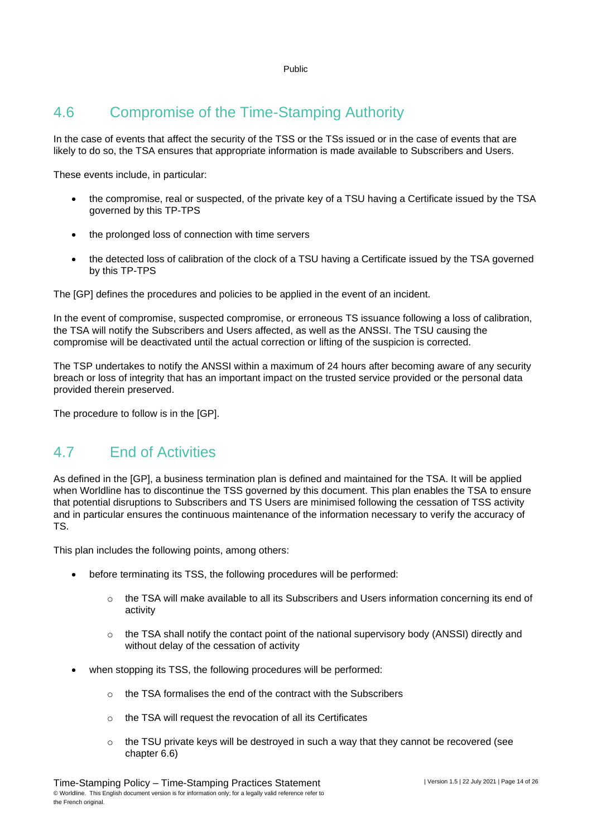### <span id="page-13-0"></span>4.6 Compromise of the Time-Stamping Authority

In the case of events that affect the security of the TSS or the TSs issued or in the case of events that are likely to do so, the TSA ensures that appropriate information is made available to Subscribers and Users.

These events include, in particular:

- the compromise, real or suspected, of the private key of a TSU having a Certificate issued by the TSA governed by this TP-TPS
- the prolonged loss of connection with time servers
- the detected loss of calibration of the clock of a TSU having a Certificate issued by the TSA governed by this TP-TPS

The [GP] defines the procedures and policies to be applied in the event of an incident.

In the event of compromise, suspected compromise, or erroneous TS issuance following a loss of calibration, the TSA will notify the Subscribers and Users affected, as well as the ANSSI. The TSU causing the compromise will be deactivated until the actual correction or lifting of the suspicion is corrected.

The TSP undertakes to notify the ANSSI within a maximum of 24 hours after becoming aware of any security breach or loss of integrity that has an important impact on the trusted service provided or the personal data provided therein preserved.

<span id="page-13-1"></span>The procedure to follow is in the [GP].

### 4.7 End of Activities

As defined in the [GP], a business termination plan is defined and maintained for the TSA. It will be applied when Worldline has to discontinue the TSS governed by this document. This plan enables the TSA to ensure that potential disruptions to Subscribers and TS Users are minimised following the cessation of TSS activity and in particular ensures the continuous maintenance of the information necessary to verify the accuracy of TS.

This plan includes the following points, among others:

- before terminating its TSS, the following procedures will be performed:
	- $\circ$  the TSA will make available to all its Subscribers and Users information concerning its end of activity
	- $\circ$  the TSA shall notify the contact point of the national supervisory body (ANSSI) directly and without delay of the cessation of activity
- when stopping its TSS, the following procedures will be performed:
	- o the TSA formalises the end of the contract with the Subscribers
	- o the TSA will request the revocation of all its Certificates
	- $\circ$  the TSU private keys will be destroyed in such a way that they cannot be recovered (see chapter 6.6)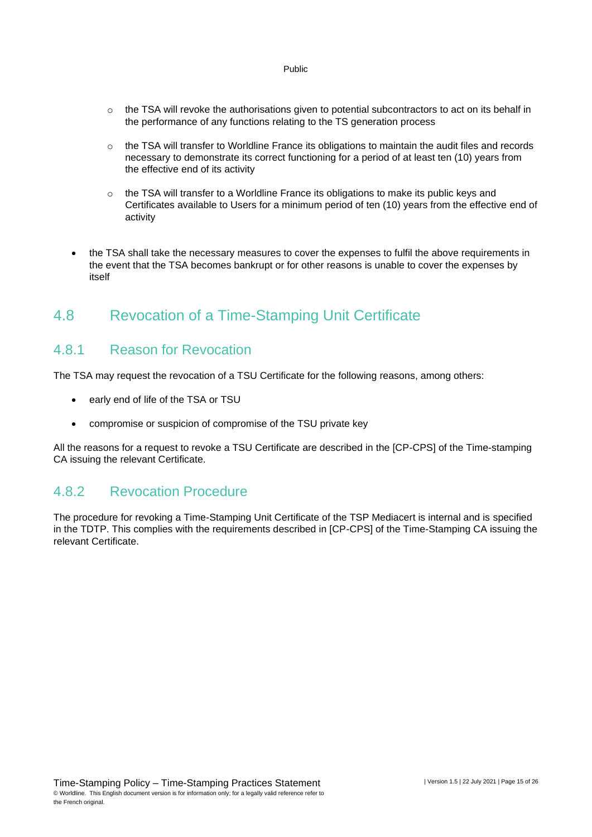- $\circ$  the TSA will revoke the authorisations given to potential subcontractors to act on its behalf in the performance of any functions relating to the TS generation process
- $\circ$  the TSA will transfer to Worldline France its obligations to maintain the audit files and records necessary to demonstrate its correct functioning for a period of at least ten (10) years from the effective end of its activity
- o the TSA will transfer to a Worldline France its obligations to make its public keys and Certificates available to Users for a minimum period of ten (10) years from the effective end of activity
- the TSA shall take the necessary measures to cover the expenses to fulfil the above requirements in the event that the TSA becomes bankrupt or for other reasons is unable to cover the expenses by itself

### <span id="page-14-0"></span>4.8 Revocation of a Time-Stamping Unit Certificate

#### 4.8.1 Reason for Revocation

The TSA may request the revocation of a TSU Certificate for the following reasons, among others:

- early end of life of the TSA or TSU
- compromise or suspicion of compromise of the TSU private key

All the reasons for a request to revoke a TSU Certificate are described in the [CP-CPS] of the Time-stamping CA issuing the relevant Certificate.

#### 4.8.2 Revocation Procedure

The procedure for revoking a Time-Stamping Unit Certificate of the TSP Mediacert is internal and is specified in the TDTP. This complies with the requirements described in [CP-CPS] of the Time-Stamping CA issuing the relevant Certificate.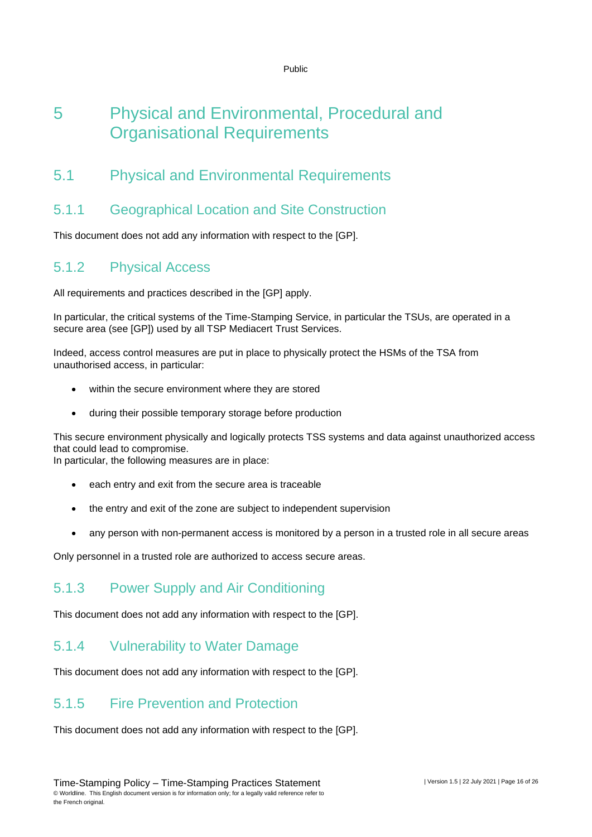## <span id="page-15-0"></span>5 Physical and Environmental, Procedural and Organisational Requirements

### <span id="page-15-1"></span>5.1 Physical and Environmental Requirements

### 5.1.1 Geographical Location and Site Construction

This document does not add any information with respect to the [GP].

#### 5.1.2 Physical Access

All requirements and practices described in the [GP] apply.

In particular, the critical systems of the Time-Stamping Service, in particular the TSUs, are operated in a secure area (see [GP]) used by all TSP Mediacert Trust Services.

Indeed, access control measures are put in place to physically protect the HSMs of the TSA from unauthorised access, in particular:

- within the secure environment where they are stored
- during their possible temporary storage before production

This secure environment physically and logically protects TSS systems and data against unauthorized access that could lead to compromise.

In particular, the following measures are in place:

- each entry and exit from the secure area is traceable
- the entry and exit of the zone are subject to independent supervision
- any person with non-permanent access is monitored by a person in a trusted role in all secure areas

Only personnel in a trusted role are authorized to access secure areas.

#### 5.1.3 Power Supply and Air Conditioning

This document does not add any information with respect to the [GP].

#### 5.1.4 Vulnerability to Water Damage

This document does not add any information with respect to the [GP].

#### 5.1.5 Fire Prevention and Protection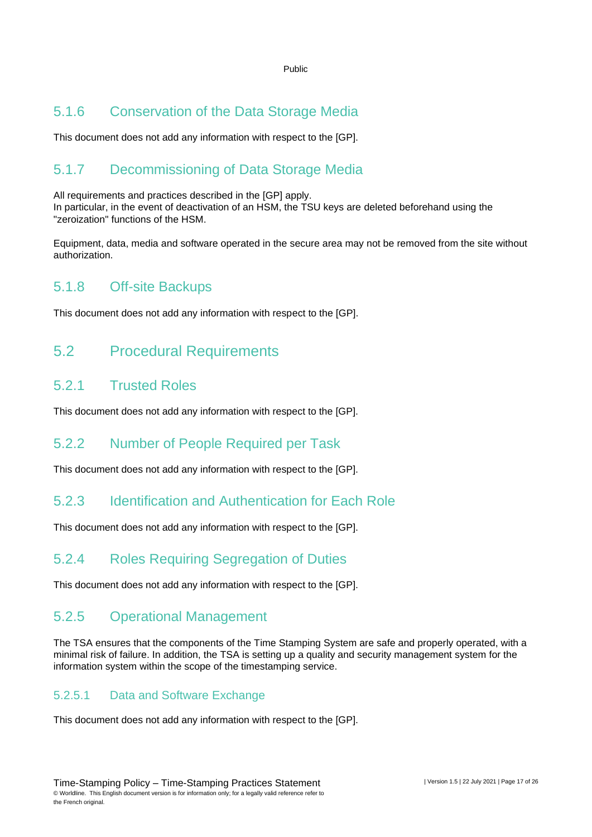### 5.1.6 Conservation of the Data Storage Media

This document does not add any information with respect to the [GP].

### 5.1.7 Decommissioning of Data Storage Media

All requirements and practices described in the [GP] apply. In particular, in the event of deactivation of an HSM, the TSU keys are deleted beforehand using the "zeroization" functions of the HSM.

Equipment, data, media and software operated in the secure area may not be removed from the site without authorization.

### 5.1.8 Off-site Backups

<span id="page-16-0"></span>This document does not add any information with respect to the [GP].

### 5.2 Procedural Requirements

#### 5.2.1 Trusted Roles

This document does not add any information with respect to the [GP].

### 5.2.2 Number of People Required per Task

This document does not add any information with respect to the [GP].

### 5.2.3 Identification and Authentication for Each Role

This document does not add any information with respect to the [GP].

### 5.2.4 Roles Requiring Segregation of Duties

This document does not add any information with respect to the [GP].

#### 5.2.5 Operational Management

The TSA ensures that the components of the Time Stamping System are safe and properly operated, with a minimal risk of failure. In addition, the TSA is setting up a quality and security management system for the information system within the scope of the timestamping service.

#### 5.2.5.1 Data and Software Exchange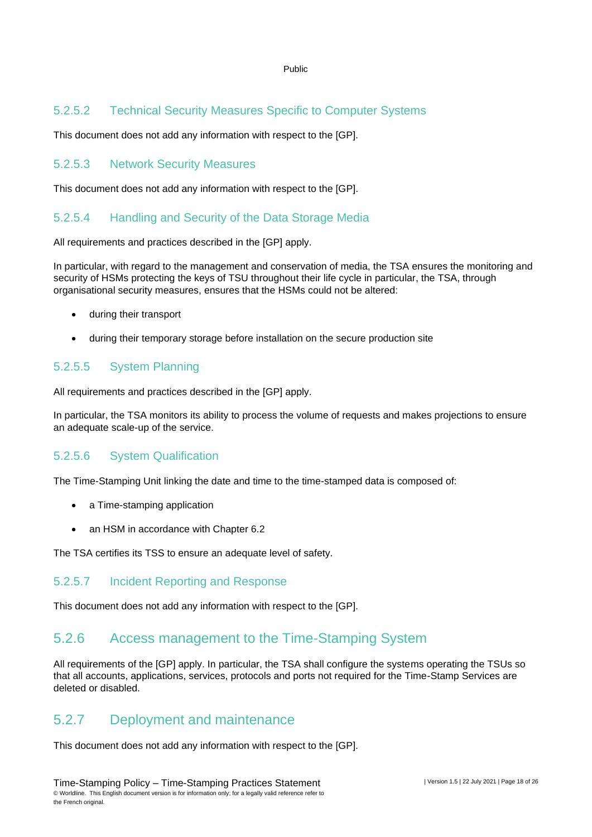#### 5.2.5.2 Technical Security Measures Specific to Computer Systems

This document does not add any information with respect to the [GP].

#### 5.2.5.3 Network Security Measures

This document does not add any information with respect to the [GP].

#### 5.2.5.4 Handling and Security of the Data Storage Media

All requirements and practices described in the [GP] apply.

In particular, with regard to the management and conservation of media, the TSA ensures the monitoring and security of HSMs protecting the keys of TSU throughout their life cycle in particular, the TSA, through organisational security measures, ensures that the HSMs could not be altered:

- during their transport
- during their temporary storage before installation on the secure production site

#### 5.2.5.5 System Planning

All requirements and practices described in the [GP] apply.

In particular, the TSA monitors its ability to process the volume of requests and makes projections to ensure an adequate scale-up of the service.

#### 5.2.5.6 System Qualification

The Time-Stamping Unit linking the date and time to the time-stamped data is composed of:

- a Time-stamping application
- an HSM in accordance with Chapter 6.2

The TSA certifies its TSS to ensure an adequate level of safety.

#### 5.2.5.7 Incident Reporting and Response

This document does not add any information with respect to the [GP].

#### 5.2.6 Access management to the Time-Stamping System

All requirements of the [GP] apply. In particular, the TSA shall configure the systems operating the TSUs so that all accounts, applications, services, protocols and ports not required for the Time-Stamp Services are deleted or disabled.

#### 5.2.7 Deployment and maintenance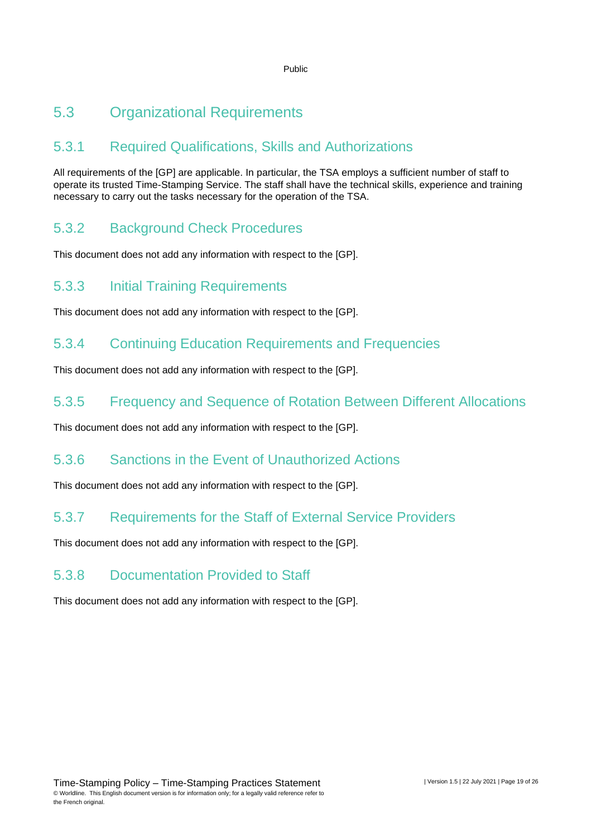### <span id="page-18-0"></span>5.3 Organizational Requirements

### 5.3.1 Required Qualifications, Skills and Authorizations

All requirements of the [GP] are applicable. In particular, the TSA employs a sufficient number of staff to operate its trusted Time-Stamping Service. The staff shall have the technical skills, experience and training necessary to carry out the tasks necessary for the operation of the TSA.

### 5.3.2 Background Check Procedures

This document does not add any information with respect to the [GP].

### 5.3.3 Initial Training Requirements

This document does not add any information with respect to the [GP].

### 5.3.4 Continuing Education Requirements and Frequencies

This document does not add any information with respect to the [GP].

#### 5.3.5 Frequency and Sequence of Rotation Between Different Allocations

This document does not add any information with respect to the [GP].

### 5.3.6 Sanctions in the Event of Unauthorized Actions

This document does not add any information with respect to the [GP].

### 5.3.7 Requirements for the Staff of External Service Providers

This document does not add any information with respect to the [GP].

### 5.3.8 Documentation Provided to Staff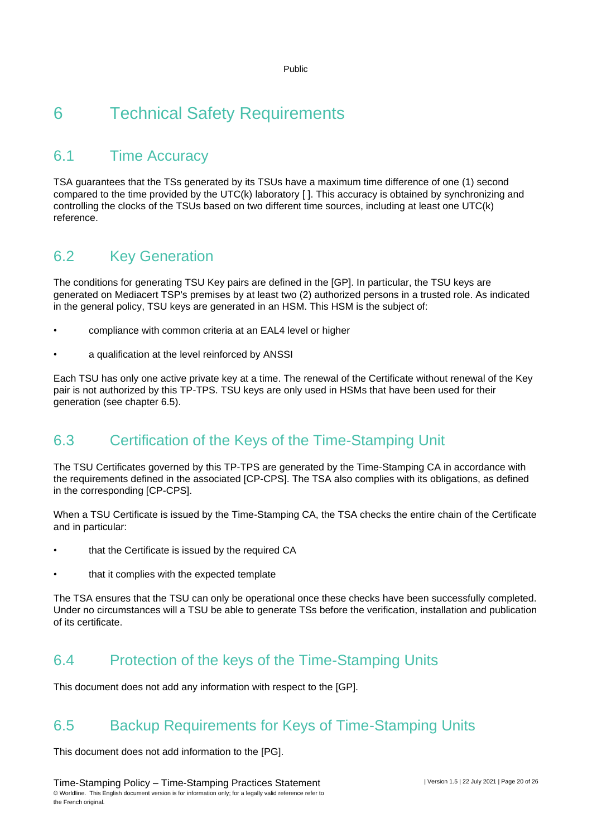# <span id="page-19-0"></span>6 Technical Safety Requirements

### <span id="page-19-1"></span>6.1 Time Accuracy

TSA guarantees that the TSs generated by its TSUs have a maximum time difference of one (1) second compared to the time provided by the UTC(k) laboratory [ ]. This accuracy is obtained by synchronizing and controlling the clocks of the TSUs based on two different time sources, including at least one UTC(k) reference.

### <span id="page-19-2"></span>6.2 Key Generation

The conditions for generating TSU Key pairs are defined in the [GP]. In particular, the TSU keys are generated on Mediacert TSP's premises by at least two (2) authorized persons in a trusted role. As indicated in the general policy, TSU keys are generated in an HSM. This HSM is the subject of:

- compliance with common criteria at an EAL4 level or higher
- a qualification at the level reinforced by ANSSI

Each TSU has only one active private key at a time. The renewal of the Certificate without renewal of the Key pair is not authorized by this TP-TPS. TSU keys are only used in HSMs that have been used for their generation (see chapter 6.5).

### <span id="page-19-3"></span>6.3 Certification of the Keys of the Time-Stamping Unit

The TSU Certificates governed by this TP-TPS are generated by the Time-Stamping CA in accordance with the requirements defined in the associated [CP-CPS]. The TSA also complies with its obligations, as defined in the corresponding [CP-CPS].

When a TSU Certificate is issued by the Time-Stamping CA, the TSA checks the entire chain of the Certificate and in particular:

- that the Certificate is issued by the required CA
- that it complies with the expected template

The TSA ensures that the TSU can only be operational once these checks have been successfully completed. Under no circumstances will a TSU be able to generate TSs before the verification, installation and publication of its certificate.

### <span id="page-19-4"></span>6.4 Protection of the keys of the Time-Stamping Units

<span id="page-19-5"></span>This document does not add any information with respect to the [GP].

### 6.5 Backup Requirements for Keys of Time-Stamping Units

This document does not add information to the [PG].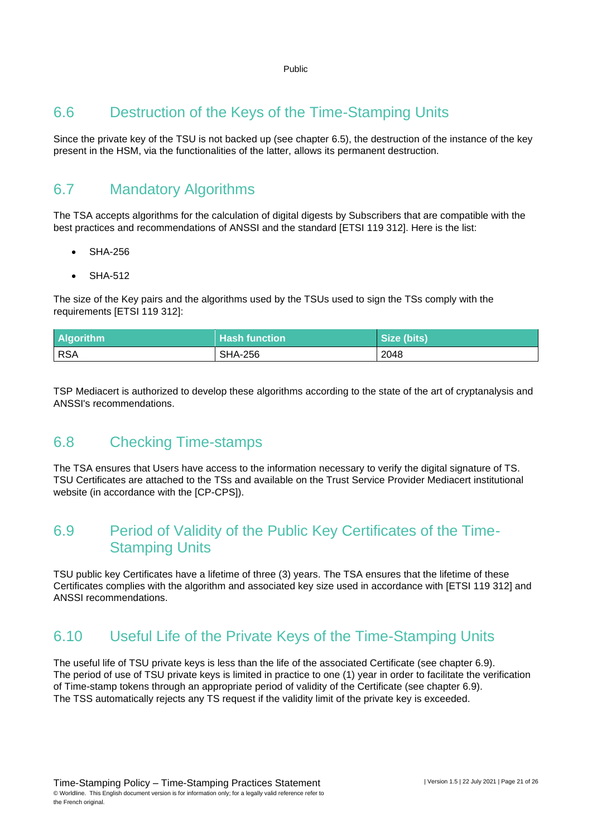### <span id="page-20-0"></span>6.6 Destruction of the Keys of the Time-Stamping Units

Since the private key of the TSU is not backed up (see chapter 6.5), the destruction of the instance of the key present in the HSM, via the functionalities of the latter, allows its permanent destruction.

### <span id="page-20-1"></span>6.7 Mandatory Algorithms

The TSA accepts algorithms for the calculation of digital digests by Subscribers that are compatible with the best practices and recommendations of ANSSI and the standard [ETSI 119 312]. Here is the list:

- SHA-256
- SHA-512

The size of the Key pairs and the algorithms used by the TSUs used to sign the TSs comply with the requirements [ETSI 119 312]:

| <b>Algorithm</b> | <b>Hash function</b> | Size (bits) |
|------------------|----------------------|-------------|
| <b>RSA</b>       | <b>SHA-256</b>       | 2048        |

<span id="page-20-2"></span>TSP Mediacert is authorized to develop these algorithms according to the state of the art of cryptanalysis and ANSSI's recommendations.

### 6.8 Checking Time-stamps

The TSA ensures that Users have access to the information necessary to verify the digital signature of TS. TSU Certificates are attached to the TSs and available on the Trust Service Provider Mediacert institutional website (in accordance with the [CP-CPS]).

### <span id="page-20-3"></span>6.9 Period of Validity of the Public Key Certificates of the Time-Stamping Units

TSU public key Certificates have a lifetime of three (3) years. The TSA ensures that the lifetime of these Certificates complies with the algorithm and associated key size used in accordance with [ETSI 119 312] and ANSSI recommendations.

### <span id="page-20-4"></span>6.10 Useful Life of the Private Keys of the Time-Stamping Units

The useful life of TSU private keys is less than the life of the associated Certificate (see chapter 6.9). The period of use of TSU private keys is limited in practice to one (1) year in order to facilitate the verification of Time-stamp tokens through an appropriate period of validity of the Certificate (see chapter 6.9). The TSS automatically rejects any TS request if the validity limit of the private key is exceeded.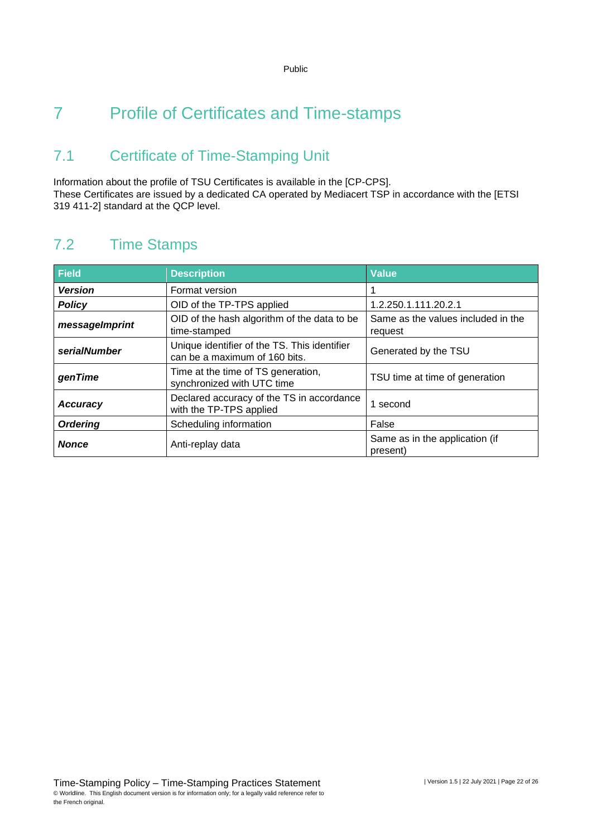# <span id="page-21-0"></span>7 Profile of Certificates and Time-stamps

### <span id="page-21-1"></span>7.1 Certificate of Time-Stamping Unit

Information about the profile of TSU Certificates is available in the [CP-CPS]. These Certificates are issued by a dedicated CA operated by Mediacert TSP in accordance with the [ETSI 319 411-2] standard at the QCP level.

### <span id="page-21-2"></span>7.2 Time Stamps

| <b>Field</b>    | <b>Description</b>                                                            | <b>Value</b>                                  |
|-----------------|-------------------------------------------------------------------------------|-----------------------------------------------|
| <b>Version</b>  | Format version                                                                |                                               |
| <b>Policy</b>   | OID of the TP-TPS applied                                                     | 1.2.250.1.111.20.2.1                          |
| messageImprint  | OID of the hash algorithm of the data to be<br>time-stamped                   | Same as the values included in the<br>request |
| serialNumber    | Unique identifier of the TS. This identifier<br>can be a maximum of 160 bits. | Generated by the TSU                          |
| genTime         | Time at the time of TS generation,<br>synchronized with UTC time              | TSU time at time of generation                |
| <b>Accuracy</b> | Declared accuracy of the TS in accordance<br>with the TP-TPS applied          | 1 second                                      |
| <b>Ordering</b> | Scheduling information                                                        | False                                         |
| <b>Nonce</b>    | Anti-replay data                                                              | Same as in the application (if<br>present)    |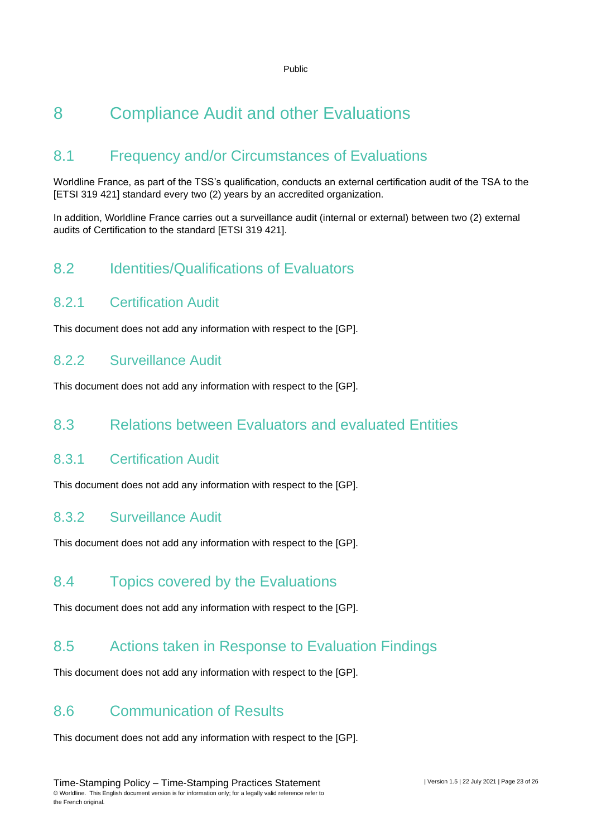# <span id="page-22-0"></span>8 Compliance Audit and other Evaluations

### <span id="page-22-1"></span>8.1 Frequency and/or Circumstances of Evaluations

Worldline France, as part of the TSS's qualification, conducts an external certification audit of the TSA to the [ETSI 319 421] standard every two (2) years by an accredited organization.

<span id="page-22-2"></span>In addition, Worldline France carries out a surveillance audit (internal or external) between two (2) external audits of Certification to the standard [ETSI 319 421].

### 8.2 Identities/Qualifications of Evaluators

#### 8.2.1 Certification Audit

This document does not add any information with respect to the [GP].

#### 8.2.2 Surveillance Audit

<span id="page-22-3"></span>This document does not add any information with respect to the [GP].

### 8.3 Relations between Evaluators and evaluated Entities

#### 8.3.1 Certification Audit

This document does not add any information with respect to the [GP].

#### 8.3.2 Surveillance Audit

<span id="page-22-4"></span>This document does not add any information with respect to the [GP].

### 8.4 Topics covered by the Evaluations

<span id="page-22-5"></span>This document does not add any information with respect to the [GP].

### 8.5 Actions taken in Response to Evaluation Findings

<span id="page-22-6"></span>This document does not add any information with respect to the [GP].

### 8.6 Communication of Results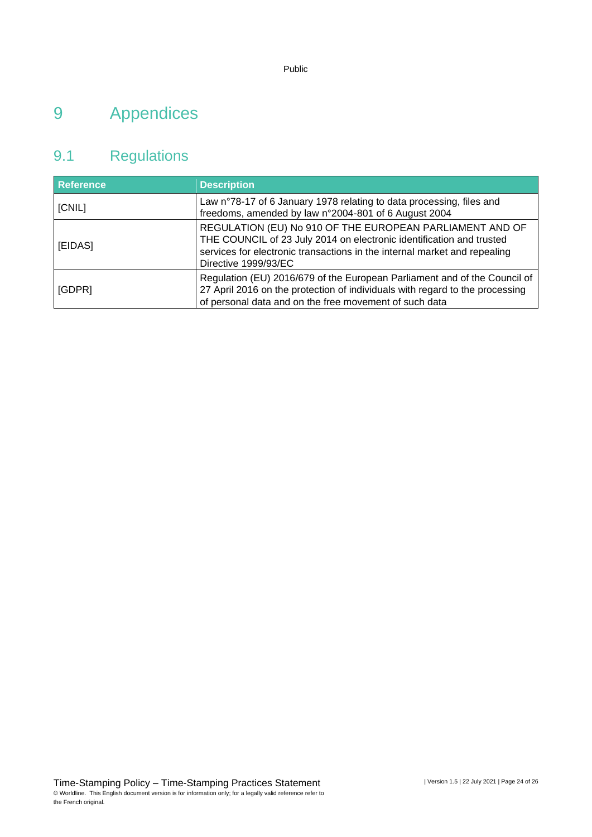# <span id="page-23-0"></span>9 Appendices

### <span id="page-23-1"></span>9.1 Regulations

| <b>Reference</b> | <b>Description</b>                                                                                                                                                                                                                    |
|------------------|---------------------------------------------------------------------------------------------------------------------------------------------------------------------------------------------------------------------------------------|
| [CNIL]           | Law n°78-17 of 6 January 1978 relating to data processing, files and<br>freedoms, amended by law n°2004-801 of 6 August 2004                                                                                                          |
| [EIDAS]          | REGULATION (EU) No 910 OF THE EUROPEAN PARLIAMENT AND OF<br>THE COUNCIL of 23 July 2014 on electronic identification and trusted<br>services for electronic transactions in the internal market and repealing<br>Directive 1999/93/EC |
| [GDPR]           | Regulation (EU) 2016/679 of the European Parliament and of the Council of<br>27 April 2016 on the protection of individuals with regard to the processing<br>of personal data and on the free movement of such data                   |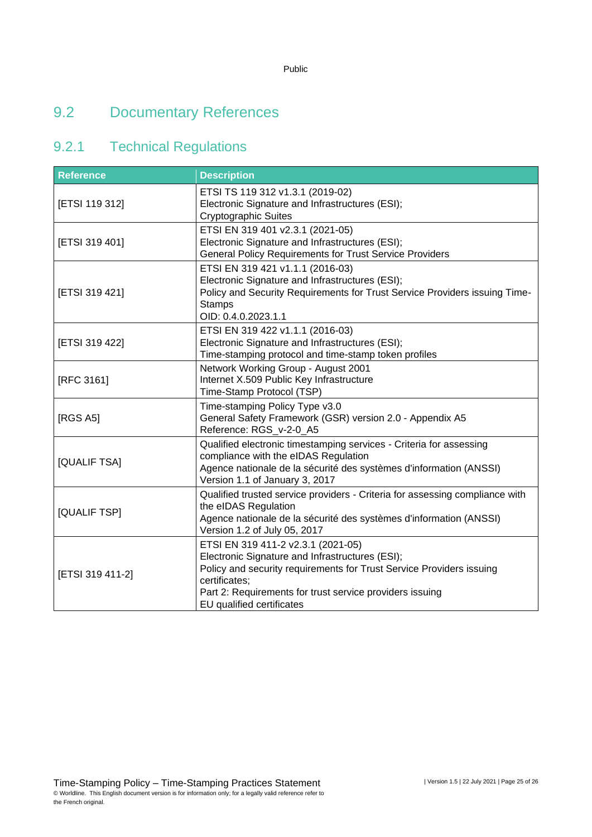### <span id="page-24-0"></span>9.2 Documentary References

### 9.2.1 Technical Regulations

| <b>Reference</b> | <b>Description</b>                                                                                                                                                                                                                                                      |
|------------------|-------------------------------------------------------------------------------------------------------------------------------------------------------------------------------------------------------------------------------------------------------------------------|
| [ETSI 119 312]   | ETSI TS 119 312 v1.3.1 (2019-02)<br>Electronic Signature and Infrastructures (ESI);<br><b>Cryptographic Suites</b>                                                                                                                                                      |
| [ETSI 319 401]   | ETSI EN 319 401 v2.3.1 (2021-05)<br>Electronic Signature and Infrastructures (ESI);<br><b>General Policy Requirements for Trust Service Providers</b>                                                                                                                   |
| [ETSI 319 421]   | ETSI EN 319 421 v1.1.1 (2016-03)<br>Electronic Signature and Infrastructures (ESI);<br>Policy and Security Requirements for Trust Service Providers issuing Time-<br><b>Stamps</b><br>OID: 0.4.0.2023.1.1                                                               |
| [ETSI 319 422]   | ETSI EN 319 422 v1.1.1 (2016-03)<br>Electronic Signature and Infrastructures (ESI);<br>Time-stamping protocol and time-stamp token profiles                                                                                                                             |
| [RFC 3161]       | Network Working Group - August 2001<br>Internet X.509 Public Key Infrastructure<br>Time-Stamp Protocol (TSP)                                                                                                                                                            |
| [RGS A5]         | Time-stamping Policy Type v3.0<br>General Safety Framework (GSR) version 2.0 - Appendix A5<br>Reference: RGS_v-2-0_A5                                                                                                                                                   |
| [QUALIF TSA]     | Qualified electronic timestamping services - Criteria for assessing<br>compliance with the eIDAS Regulation<br>Agence nationale de la sécurité des systèmes d'information (ANSSI)<br>Version 1.1 of January 3, 2017                                                     |
| [QUALIF TSP]     | Qualified trusted service providers - Criteria for assessing compliance with<br>the eIDAS Regulation<br>Agence nationale de la sécurité des systèmes d'information (ANSSI)<br>Version 1.2 of July 05, 2017                                                              |
| [ETSI 319 411-2] | ETSI EN 319 411-2 v2.3.1 (2021-05)<br>Electronic Signature and Infrastructures (ESI);<br>Policy and security requirements for Trust Service Providers issuing<br>certificates;<br>Part 2: Requirements for trust service providers issuing<br>EU qualified certificates |